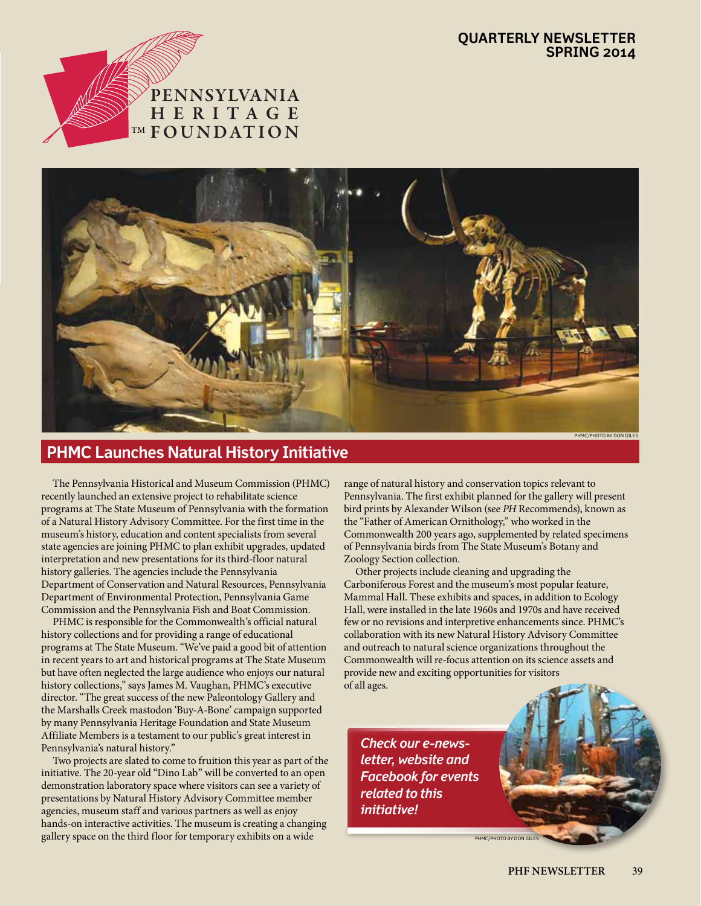#### **Quarterly Newsletter spring 2014**





## **PHMC Launches Natural History Initiative**

 The Pennsylvania Historical and Museum Commission (PHMC) recently launched an extensive project to rehabilitate science programs at The State Museum of Pennsylvania with the formation of a Natural History Advisory Committee. For the first time in the museum's history, education and content specialists from several state agencies are joining PHMC to plan exhibit upgrades, updated interpretation and new presentations for its third-floor natural history galleries. The agencies include the Pennsylvania Department of Conservation and Natural Resources, Pennsylvania Department of Environmental Protection, Pennsylvania Game Commission and the Pennsylvania Fish and Boat Commission.

 PHMC is responsible for the Commonwealth's official natural history collections and for providing a range of educational programs at The State Museum. "We've paid a good bit of attention in recent years to art and historical programs at The State Museum but have often neglected the large audience who enjoys our natural history collections," says James M. Vaughan, PHMC's executive director. "The great success of the new Paleontology Gallery and the Marshalls Creek mastodon 'Buy-A-Bone' campaign supported by many Pennsylvania Heritage Foundation and State Museum Affiliate Members is a testament to our public's great interest in Pennsylvania's natural history."

 Two projects are slated to come to fruition this year as part of the initiative. The 20-year old "Dino Lab" will be converted to an open demonstration laboratory space where visitors can see a variety of presentations by Natural History Advisory Committee member agencies, museum staff and various partners as well as enjoy hands-on interactive activities. The museum is creating a changing gallery space on the third floor for temporary exhibits on a wide

range of natural history and conservation topics relevant to Pennsylvania. The first exhibit planned for the gallery will present bird prints by Alexander Wilson (see *PH* Recommends), known as the "Father of American Ornithology," who worked in the Commonwealth 200 years ago, supplemented by related specimens of Pennsylvania birds from The State Museum's Botany and Zoology Section collection.

 Other projects include cleaning and upgrading the Carboniferous Forest and the museum's most popular feature, Mammal Hall. These exhibits and spaces, in addition to Ecology Hall, were installed in the late 1960s and 1970s and have received few or no revisions and interpretive enhancements since. PHMC's collaboration with its new Natural History Advisory Committee and outreach to natural science organizations throughout the Commonwealth will re-focus attention on its science assets and provide new and exciting opportunities for visitors of all ages.

*Check our e-newsletter, website and Facebook for events related to this initiative!*

phmc/photo by don giles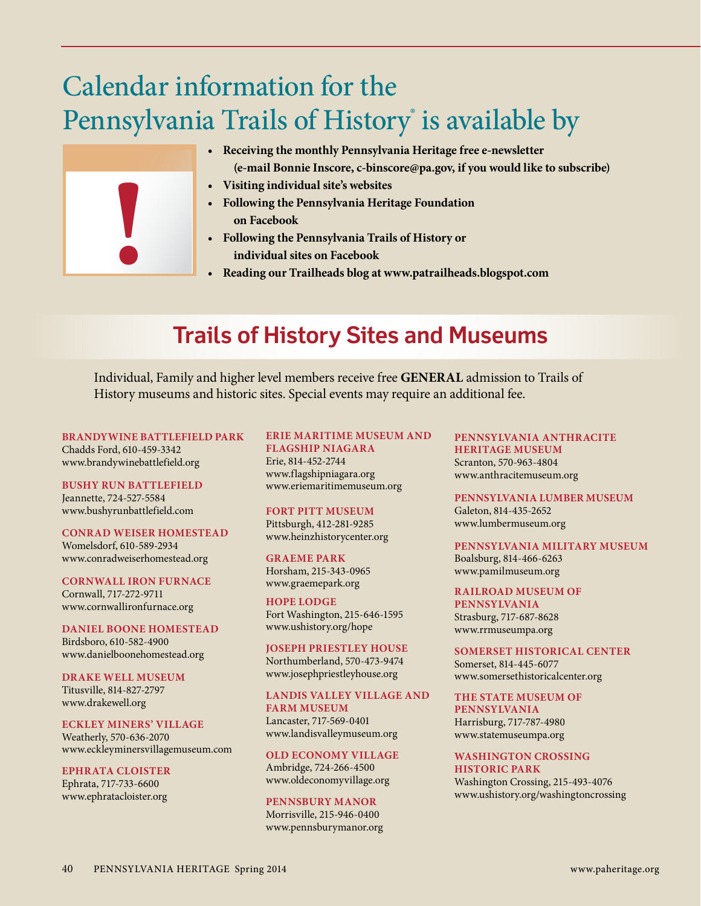# Calendar information for the Pennsylvania Trails of History is available by



- **Receiving the monthly Pennsylvania Heritage free e-newsletter (e-mail Bonnie Inscore, c-binscore@pa.gov, if you would like to subscribe)**
- **Visiting individual site's websites**
- **Following the Pennsylvania Heritage Foundation on Facebook**
- **Following the Pennsylvania Trails of History or individual sites on Facebook**
- **Reading our Trailheads blog at www.patrailheads.blogspot.com**

# **Trails of History Sites and Museums**

Individual, Family and higher level members receive free **GENERAL** admission to Trails of History museums and historic sites. Special events may require an additional fee.

**BRANDYWINE BATTLEFIELD PARK** Chadds Ford, 610-459-3342 www.brandywinebattlefield.org

**BUSHY RUN BATTLEFIELD** Jeannette, 724-527-5584 www.bushyrunbattlefield.com

**CONRAD WEISER HOMESTEAD** Womelsdorf, 610-589-2934 www.conradweiserhomestead.org

**CORNWALL IRON FURNACE** Cornwall, 717-272-9711 www.cornwallironfurnace.org

**DANIEL BOONE HOMESTEAD** Birdsboro, 610-582-4900 www.danielboonehomestead.org

**DRAKE WELL MUSEUM** Titusville, 814-827-2797 www.drakewell.org

**ECKLEY MINERS' VILLAGE**

Weatherly, 570-636-2070 www.eckleyminersvillagemuseum.com

**EPHRATA CLOISTER** Ephrata, 717-733-6600 www.ephratacloister.org

## **ERIE MARITIME MUSEUM AND**

**FLAGSHIP NIAGARA** Erie, 814-452-2744 www.flagshipniagara.org www.eriemaritimemuseum.org

**FORT PITT MUSEUM** Pittsburgh, 412-281-9285 www.heinzhistorycenter.org

**GRAEME PARK** Horsham, 215-343-0965 www.graemepark.org

**HOPE LODGE** Fort Washington, 215-646-1595 www.ushistory.org/hope

**JOSEPH PRIESTLEY HOUSE** Northumberland, 570-473-9474 www.josephpriestleyhouse.org

**LANDIS VALLEY VILLAGE AND FARM MUSEUM** Lancaster, 717-569-0401 www.landisvalleymuseum.org

**OLD ECONOMY VILLAGE** Ambridge, 724-266-4500 www.oldeconomyvillage.org

**PENNSBURY MANOR** Morrisville, 215-946-0400 www.pennsburymanor.org **PENNSYLVANIA ANTHRACITE HERITAGE MUSEUM** Scranton, 570-963-4804 www.anthracitemuseum.org

**PENNSYLVANIA LUMBER MUSEUM** Galeton, 814-435-2652 www.lumbermuseum.org

**PENNSYLVANIA MILITARY MUSEUM** Boalsburg, 814-466-6263 www.pamilmuseum.org

**RAILROAD MUSEUM OF PENNSYLVANIA** Strasburg, 717-687-8628 www.rrmuseumpa.org

**SOMERSET HISTORICAL CENTER** Somerset, 814-445-6077 www.somersethistoricalcenter.org

**THE STATE MUSEUM OF PENNSYLVANIA** Harrisburg, 717-787-4980 www.statemuseumpa.org

**WASHINGTON CROSSING HISTORIC PARK** Washington Crossing, 215-493-4076 www.ushistory.org/washingtoncrossing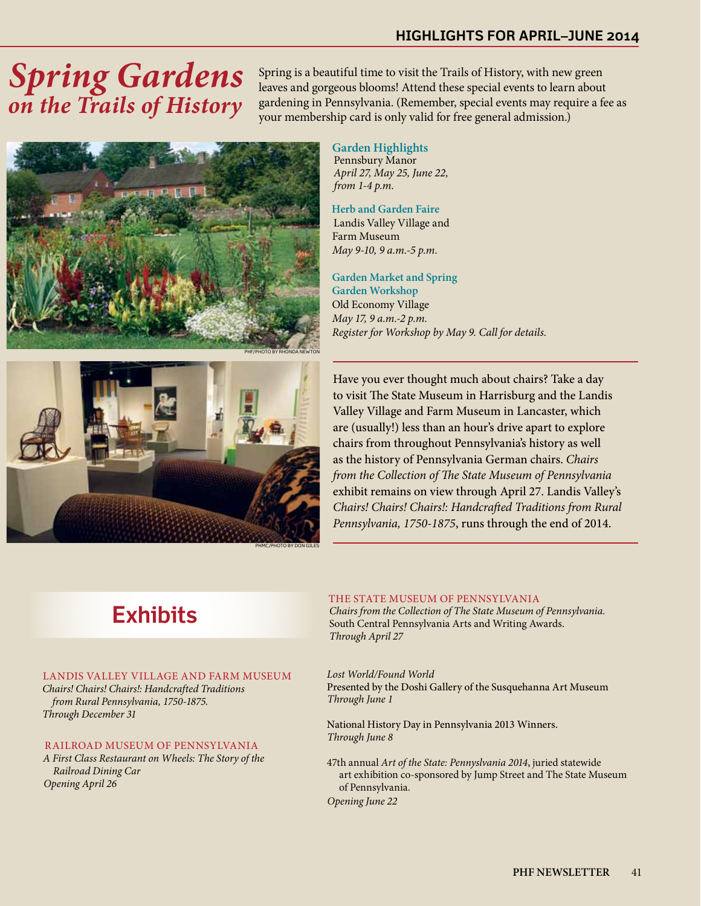### **highlights for april–june 2014**

# *Spring Gardens on the Trails of History*

Spring is a beautiful time to visit the Trails of History, with new green leaves and gorgeous blooms! Attend these special events to learn about gardening in Pennsylvania. (Remember, special events may require a fee as your membership card is only valid for free general admission.)



 **Garden Highlights** Pennsbury Manor  *April 27, May 25, June 22, from 1-4 p.m.*

 **Herb and Garden Faire** Landis Valley Village and Farm Museum  *May 9-10, 9 a.m.-5 p.m.*

 **Garden Market and Spring Garden Workshop** Old Economy Village  *May 17, 9 a.m.-2 p.m. Register for Workshop by May 9. Call for details.*



Have you ever thought much about chairs? Take a day to visit The State Museum in Harrisburg and the Landis Valley Village and Farm Museum in Lancaster, which are (usually!) less than an hour's drive apart to explore chairs from throughout Pennsylvania's history as well as the history of Pennsylvania German chairs. *Chairs from the Collection of The State Museum of Pennsylvania*  exhibit remains on view through April 27. Landis Valley's *Chairs! Chairs! Chairs!: Handcrafted Traditions from Rural Pennsylvania, 1750-1875*, runs through the end of 2014.

## **Exhibits**

#### LANDIS VALLEY VILLAGE AND FARM MUSEUM

 *Chairs! Chairs! Chairs!: Handcrafted Traditions from Rural Pennsylvania, 1750-1875. Through December 31*

#### RAILROAD MUSEUM OF PENNSYLVANIA

*A First Class Restaurant on Wheels: The Story of the Railroad Dining Car Opening April 26*

#### THE STATE MUSEUM OF PENNSYLVANIA

 *Chairs from the Collection of The State Museum of Pennsylvania.* South Central Pennsylvania Arts and Writing Awards.  *Through April 27* 

*Lost World/Found World* Presented by the Doshi Gallery of the Susquehanna Art Museum *Through June 1*

National History Day in Pennsylvania 2013 Winners. *Through June 8*

47th annual *Art of the State: Pennyslvania 2014*, juried statewide art exhibition co-sponsored by Jump Street and The State Museum of Pennsylvania.

*Opening June 22*